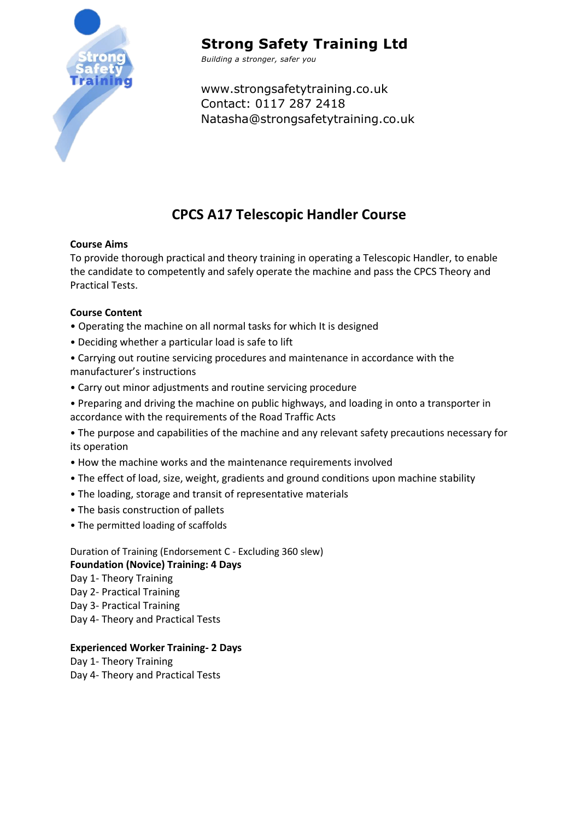

# **Strong Safety Training Ltd**

*Building a stronger, safer you*

www.strongsafetytraining.co.uk Contact: 0117 287 2418 Natasha@strongsafetytraining.co.uk

## **CPCS A17 Telescopic Handler Course**

### **Course Aims**

To provide thorough practical and theory training in operating a Telescopic Handler, to enable the candidate to competently and safely operate the machine and pass the CPCS Theory and Practical Tests.

### **Course Content**

- Operating the machine on all normal tasks for which It is designed
- Deciding whether a particular load is safe to lift
- Carrying out routine servicing procedures and maintenance in accordance with the manufacturer's instructions
- Carry out minor adjustments and routine servicing procedure
- Preparing and driving the machine on public highways, and loading in onto a transporter in accordance with the requirements of the Road Traffic Acts

• The purpose and capabilities of the machine and any relevant safety precautions necessary for its operation

- How the machine works and the maintenance requirements involved
- The effect of load, size, weight, gradients and ground conditions upon machine stability
- The loading, storage and transit of representative materials
- The basis construction of pallets
- The permitted loading of scaffolds

Duration of Training (Endorsement C - Excluding 360 slew) **Foundation (Novice) Training: 4 Days**  Day 1- Theory Training Day 2- Practical Training Day 3- Practical Training Day 4- Theory and Practical Tests

**Experienced Worker Training- 2 Days**  Day 1- Theory Training

Day 4- Theory and Practical Tests